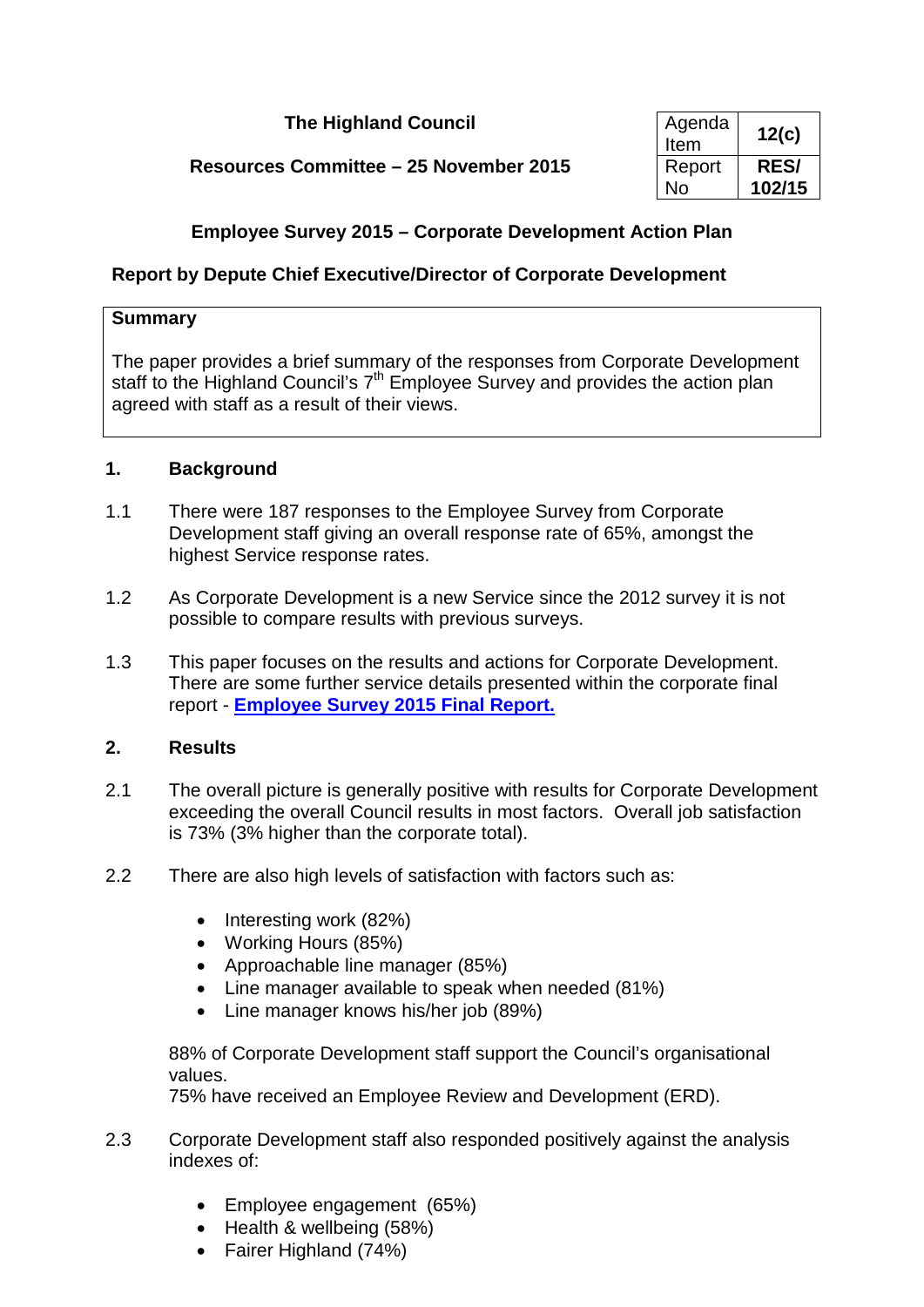# **The Highland Council**

# **Resources Committee – 25 November 2015**

| Agenda<br>Item | 12(c)       |
|----------------|-------------|
| Report         | <b>RES/</b> |
| N٥             | 102/15      |

## **Employee Survey 2015 – Corporate Development Action Plan**

## **Report by Depute Chief Executive/Director of Corporate Development**

### **Summary**

The paper provides a brief summary of the responses from Corporate Development staff to the Highland Council's  $7<sup>th</sup>$  Employee Survey and provides the action plan agreed with staff as a result of their views.

### **1. Background**

- 1.1 There were 187 responses to the Employee Survey from Corporate Development staff giving an overall response rate of 65%, amongst the highest Service response rates.
- 1.2 As Corporate Development is a new Service since the 2012 survey it is not possible to compare results with previous surveys.
- 1.3 This paper focuses on the results and actions for Corporate Development. There are some further service details presented within the corporate final report - **[Employee Survey 2015 Final Report.](http://dev-highland.dev.jadu.net/intranet/tdtintra/employee-survey/2015-e-surv/Report_9607_v3.doc)**

## **2. Results**

- 2.1 The overall picture is generally positive with results for Corporate Development exceeding the overall Council results in most factors. Overall job satisfaction is 73% (3% higher than the corporate total).
- 2.2 There are also high levels of satisfaction with factors such as:
	- Interesting work (82%)
	- Working Hours (85%)
	- Approachable line manager (85%)
	- Line manager available to speak when needed (81%)
	- Line manager knows his/her job (89%)

88% of Corporate Development staff support the Council's organisational values.

75% have received an Employee Review and Development (ERD).

- 2.3 Corporate Development staff also responded positively against the analysis indexes of:
	- Employee engagement (65%)
	- Health & wellbeing (58%)
	- Fairer Highland (74%)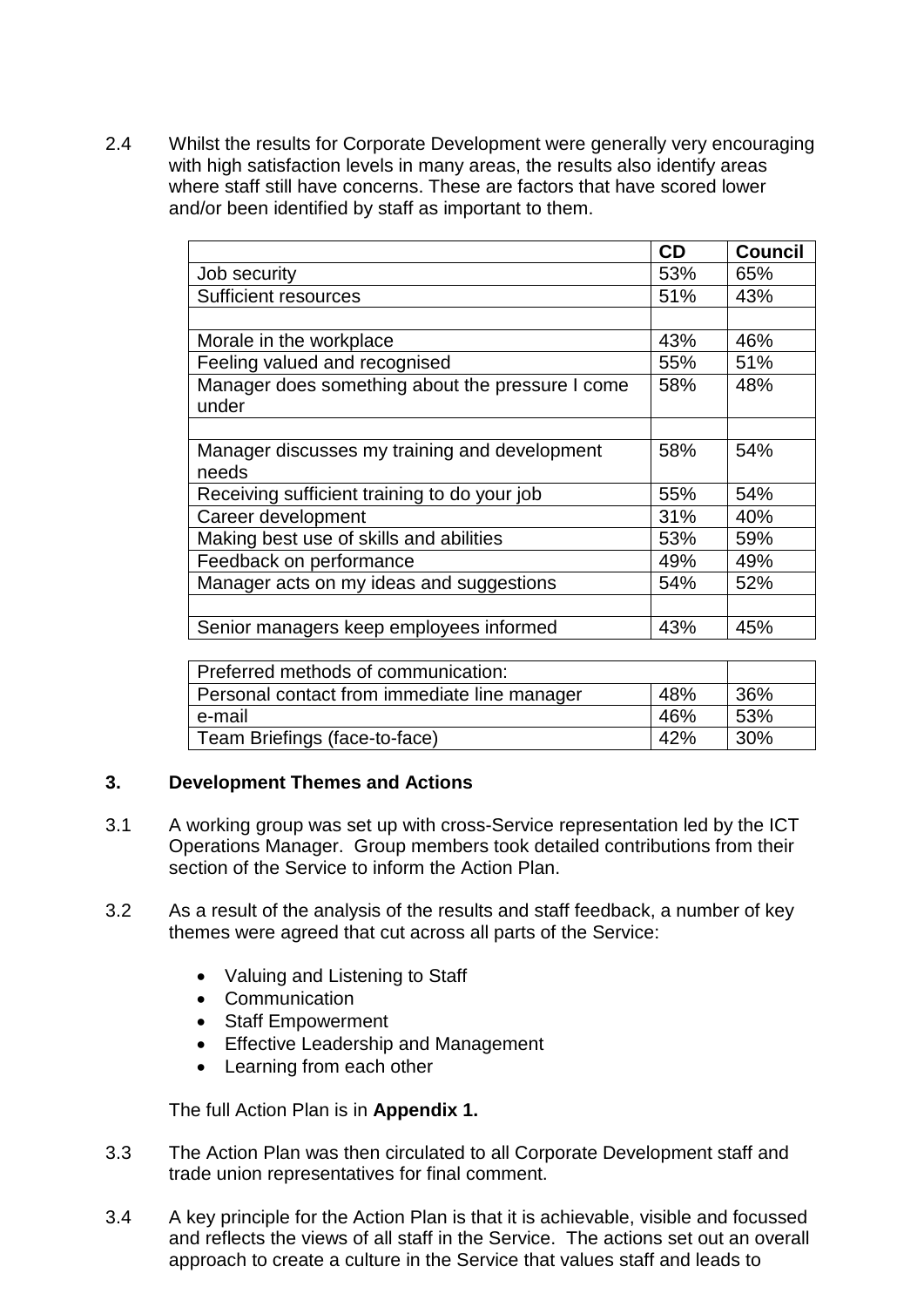2.4 Whilst the results for Corporate Development were generally very encouraging with high satisfaction levels in many areas, the results also identify areas where staff still have concerns. These are factors that have scored lower and/or been identified by staff as important to them.

|                                                  | <b>CD</b> | <b>Council</b> |
|--------------------------------------------------|-----------|----------------|
| Job security                                     | 53%       | 65%            |
| <b>Sufficient resources</b>                      | 51%       | 43%            |
|                                                  |           |                |
| Morale in the workplace                          | 43%       | 46%            |
| Feeling valued and recognised                    | 55%       | 51%            |
| Manager does something about the pressure I come | 58%       | 48%            |
| under                                            |           |                |
|                                                  |           |                |
| Manager discusses my training and development    | 58%       | 54%            |
| needs                                            |           |                |
| Receiving sufficient training to do your job     | 55%       | 54%            |
| Career development                               | 31%       | 40%            |
| Making best use of skills and abilities          | 53%       | 59%            |
| Feedback on performance                          | 49%       | 49%            |
| Manager acts on my ideas and suggestions         | 54%       | 52%            |
|                                                  |           |                |
| Senior managers keep employees informed          | 43%       | 45%            |

| Preferred methods of communication:          |     |      |
|----------------------------------------------|-----|------|
| Personal contact from immediate line manager | 48% | 36%  |
| e-mail                                       | 46% | .53% |
| Team Briefings (face-to-face)                | 42% | 30%  |

## **3. Development Themes and Actions**

- 3.1 A working group was set up with cross-Service representation led by the ICT Operations Manager. Group members took detailed contributions from their section of the Service to inform the Action Plan.
- 3.2 As a result of the analysis of the results and staff feedback, a number of key themes were agreed that cut across all parts of the Service:
	- Valuing and Listening to Staff
	- Communication
	- Staff Empowerment
	- Effective Leadership and Management
	- Learning from each other

The full Action Plan is in **Appendix 1.**

- 3.3 The Action Plan was then circulated to all Corporate Development staff and trade union representatives for final comment.
- 3.4 A key principle for the Action Plan is that it is achievable, visible and focussed and reflects the views of all staff in the Service. The actions set out an overall approach to create a culture in the Service that values staff and leads to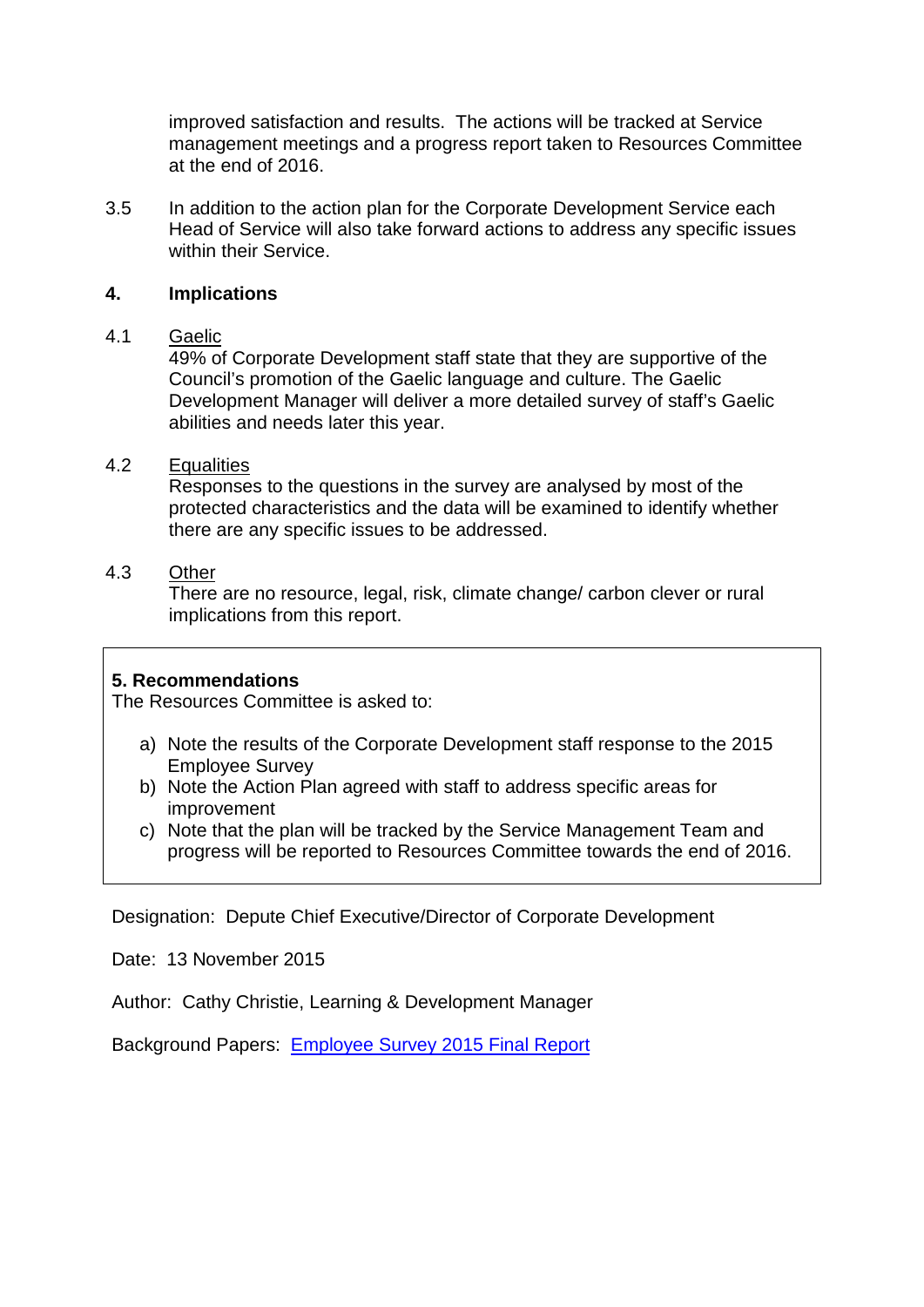improved satisfaction and results. The actions will be tracked at Service management meetings and a progress report taken to Resources Committee at the end of 2016.

3.5 In addition to the action plan for the Corporate Development Service each Head of Service will also take forward actions to address any specific issues within their Service.

#### **4. Implications**

#### 4.1 Gaelic

49% of Corporate Development staff state that they are supportive of the Council's promotion of the Gaelic language and culture. The Gaelic Development Manager will deliver a more detailed survey of staff's Gaelic abilities and needs later this year.

#### 4.2 Equalities

Responses to the questions in the survey are analysed by most of the protected characteristics and the data will be examined to identify whether there are any specific issues to be addressed.

#### 4.3 Other

There are no resource, legal, risk, climate change/ carbon clever or rural implications from this report.

### **5. Recommendations**

The Resources Committee is asked to:

- a) Note the results of the Corporate Development staff response to the 2015 Employee Survey
- b) Note the Action Plan agreed with staff to address specific areas for improvement
- c) Note that the plan will be tracked by the Service Management Team and progress will be reported to Resources Committee towards the end of 2016.

Designation: Depute Chief Executive/Director of Corporate Development

Date: 13 November 2015

Author: Cathy Christie, Learning & Development Manager

Background Papers: [Employee Survey 2015 Final Report](http://dev-highland.dev.jadu.net/intranet/tdtintra/employee-survey/2015-e-surv/Report_9607_v3.doc)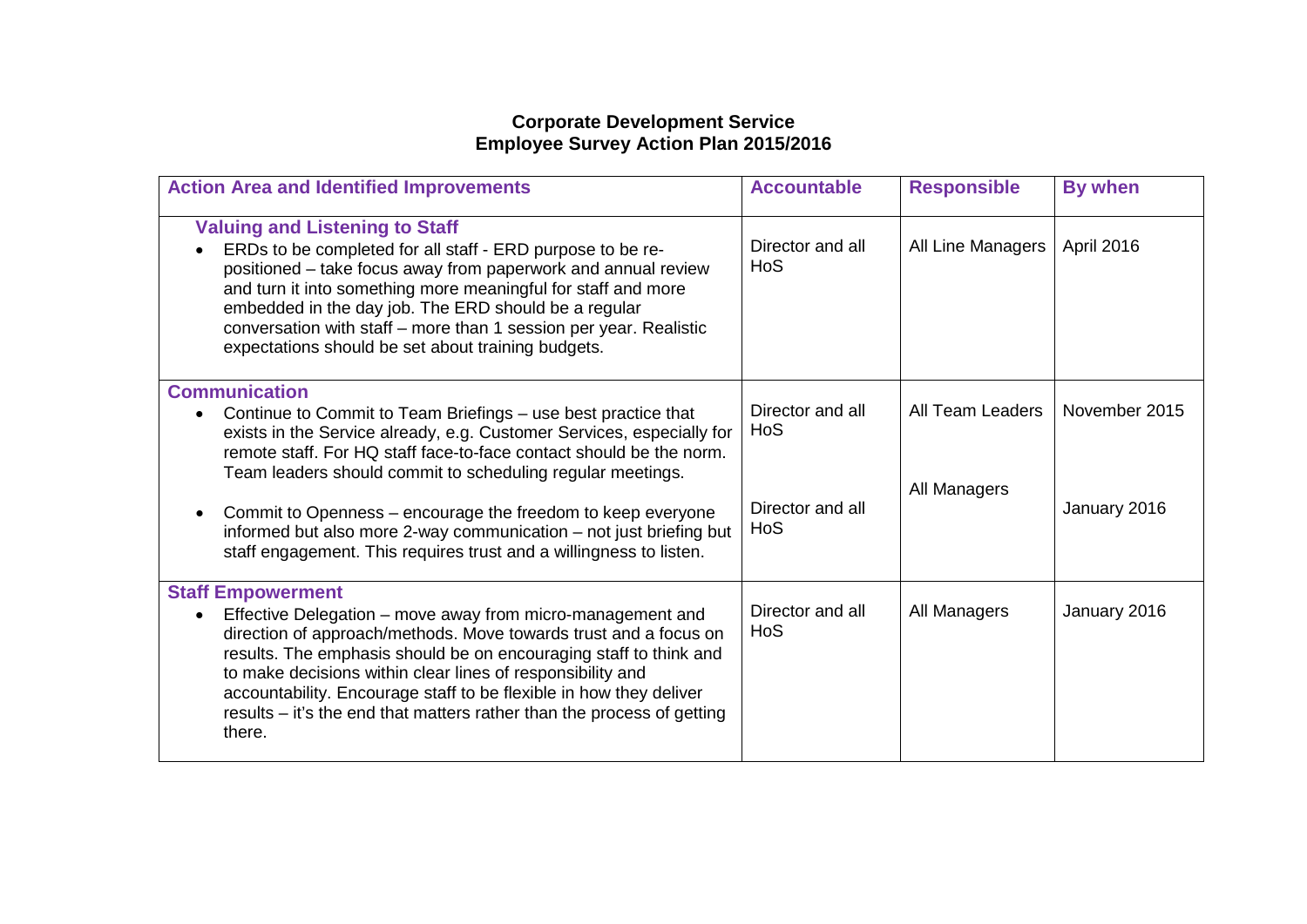## **Corporate Development Service Employee Survey Action Plan 2015/2016**

| <b>Action Area and Identified Improvements</b>                                                                                                                                                                                                                                                                                                                                                                                                                       | <b>Accountable</b>             | <b>Responsible</b> | <b>By when</b> |
|----------------------------------------------------------------------------------------------------------------------------------------------------------------------------------------------------------------------------------------------------------------------------------------------------------------------------------------------------------------------------------------------------------------------------------------------------------------------|--------------------------------|--------------------|----------------|
| <b>Valuing and Listening to Staff</b><br>ERDs to be completed for all staff - ERD purpose to be re-<br>positioned – take focus away from paperwork and annual review<br>and turn it into something more meaningful for staff and more<br>embedded in the day job. The ERD should be a regular<br>conversation with staff - more than 1 session per year. Realistic<br>expectations should be set about training budgets.                                             | Director and all<br><b>HoS</b> | All Line Managers  | April 2016     |
| <b>Communication</b><br>Continue to Commit to Team Briefings - use best practice that<br>exists in the Service already, e.g. Customer Services, especially for<br>remote staff. For HQ staff face-to-face contact should be the norm.<br>Team leaders should commit to scheduling regular meetings.                                                                                                                                                                  | Director and all<br>HoS        | All Team Leaders   | November 2015  |
| Commit to Openness – encourage the freedom to keep everyone<br>informed but also more 2-way communication - not just briefing but<br>staff engagement. This requires trust and a willingness to listen.                                                                                                                                                                                                                                                              | Director and all<br>HoS        | All Managers       | January 2016   |
| <b>Staff Empowerment</b><br>Effective Delegation - move away from micro-management and<br>$\bullet$<br>direction of approach/methods. Move towards trust and a focus on<br>results. The emphasis should be on encouraging staff to think and<br>to make decisions within clear lines of responsibility and<br>accountability. Encourage staff to be flexible in how they deliver<br>results - it's the end that matters rather than the process of getting<br>there. | Director and all<br><b>HoS</b> | All Managers       | January 2016   |